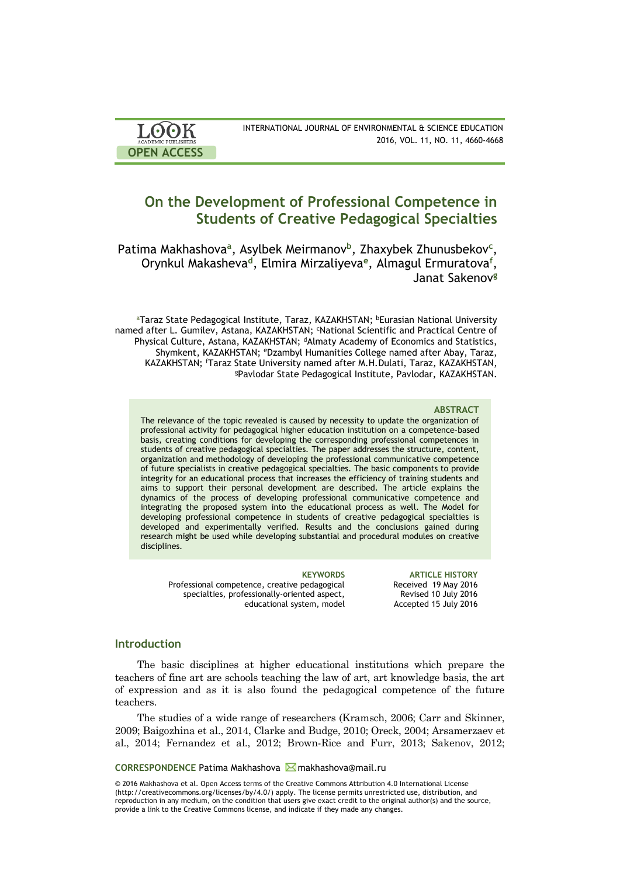| <b>LOOK</b>                | INTERNATIONAL JOURNAL OF ENVIRONMENTAL & SCIENCE EDUCATION |
|----------------------------|------------------------------------------------------------|
| <b>ACADEMIC PUBLISHERS</b> | 2016, VOL. 11, NO. 11, 4660-4668                           |
| <b>OPEN ACCESS</b>         |                                                            |

# **On the Development of Professional Competence in Students of Creative Pedagogical Specialties**

Patima Makhashova<sup>a</sup>, Asylbek Meirmanov<sup>b</sup>, Zhaxybek Zhunusbekov<sup>c</sup>, Orynkul Makasheva**<sup>d</sup>** , Elmira Mirzaliyeva**<sup>e</sup>** , Almagul Ermuratova**<sup>f</sup>** , Janat Sakenov**<sup>g</sup>**

aTaraz State Pedagogical Institute, Taraz, KAZAKHSTAN; bEurasian National University named after L. Gumilev, Astana, KAZAKHSTAN; 'National Scientific and Practical Centre of Physical Culture, Astana, KAZAKHSTAN; <sup>d</sup>Almaty Academy of Economics and Statistics, Shymkent, KAZAKHSTAN; <sup>e</sup>Dzambyl Humanities College named after Abay, Taraz, KAZAKHSTAN; <sup>f</sup>Taraz State University named after M.H.Dulati, Taraz, KAZAKHSTAN, <sup>g</sup>Pavlodar State Pedagogical Institute, Pavlodar, KAZAKHSTAN.

### **ABSTRACT**

The relevance of the topic revealed is caused by necessity to update the organization of professional activity for pedagogical higher education institution on a competence-based basis, creating conditions for developing the corresponding professional competences in students of creative pedagogical specialties. The paper addresses the structure, content, organization and methodology of developing the professional communicative competence of future specialists in creative pedagogical specialties. The basic components to provide integrity for an educational process that increases the efficiency of training students and aims to support their personal development are described. The article explains the dynamics of the process of developing professional communicative competence and integrating the proposed system into the educational process as well. The Model for developing professional competence in students of creative pedagogical specialties is developed and experimentally verified. Results and the conclusions gained during research might be used while developing substantial and procedural modules on creative disciplines.

Professional competence, creative pedagogical specialties, professionally-oriented aspect, educational system, model

**KEYWORDS ARTICLE HISTORY** Received 19 May 2016 Revised 10 July 2016 Accepted 15 July 2016

### **Introduction**

The basic disciplines at higher educational institutions which prepare the teachers of fine art are schools teaching the law of art, art knowledge basis, the art of expression and as it is also found the pedagogical competence of the future teachers.

The studies of a wide range of researchers (Kramsch, 2006; Carr and Skinner, 2009; Baigozhina et al., 2014, Clarke and Budge, 2010; Oreck, 2004; Arsamerzaev et al., 2014; Fernandez et al., 2012; Brown-Rice and Furr, 2013; Sakenov, 2012;

### **CORRESPONDENCE** Patima Makhashova makhashova@mail.ru

© 2016 Makhashova et al. Open Access terms of the Creative Commons Attribution 4.0 International License (http://creativecommons.org/licenses/by/4.0/) apply. The license permits unrestricted use, distribution, and reproduction in any medium, on the condition that users give exact credit to the original author(s) and the source, provide a link to the Creative Commons license, and indicate if they made any changes.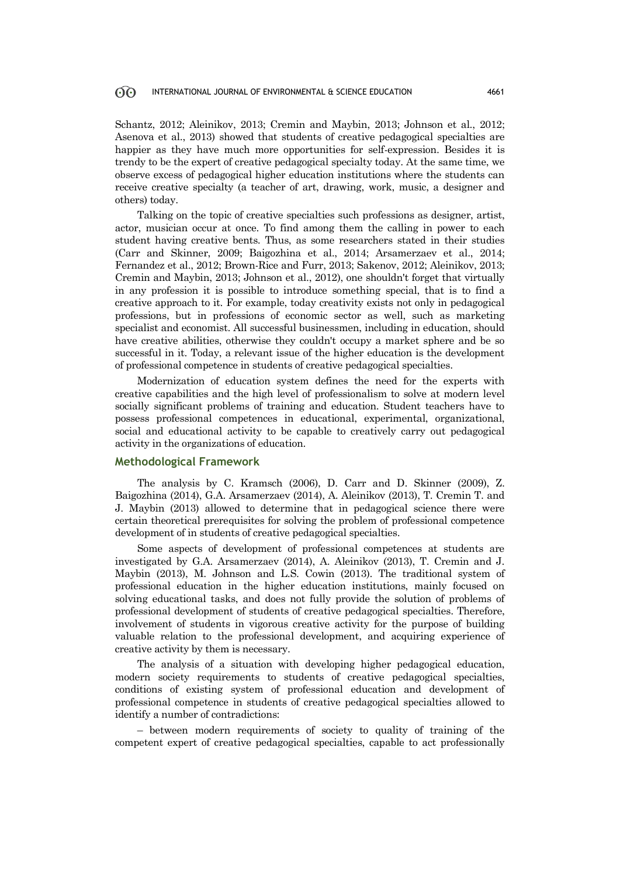Schantz, 2012; Aleinikov, 2013; Cremin and Maybin, 2013; Johnson et al., 2012; Asenova et al., 2013) showed that students of creative pedagogical specialties are happier as they have much more opportunities for self-expression. Besides it is trendy to be the expert of creative pedagogical specialty today. At the same time, we observe excess of pedagogical higher education institutions where the students can receive creative specialty (a teacher of art, drawing, work, music, a designer and others) today.

Talking on the topic of creative specialties such professions as designer, artist, actor, musician occur at once. To find among them the calling in power to each student having creative bents. Thus, as some researchers stated in their studies (Carr and Skinner, 2009; Baigozhina et al., 2014; Arsamerzaev et al., 2014; Fernandez et al., 2012; Brown-Rice and Furr, 2013; Sakenov, 2012; Aleinikov, 2013; Cremin and Maybin, 2013; Johnson et al., 2012), one shouldn't forget that virtually in any profession it is possible to introduce something special, that is to find a creative approach to it. For example, today creativity exists not only in pedagogical professions, but in professions of economic sector as well, such as marketing specialist and economist. All successful businessmen, including in education, should have creative abilities, otherwise they couldn't occupy a market sphere and be so successful in it. Today, a relevant issue of the higher education is the development of professional competence in students of creative pedagogical specialties.

Modernization of education system defines the need for the experts with creative capabilities and the high level of professionalism to solve at modern level socially significant problems of training and education. Student teachers have to possess professional competences in educational, experimental, organizational, social and educational activity to be capable to creatively carry out pedagogical activity in the organizations of education.

## **Methodological Framework**

The analysis by C. Kramsch (2006), D. Carr and D. Skinner (2009), Z. Baigozhina (2014), G.A. Arsamerzaev (2014), A. Aleinikov (2013), T. Cremin T. and J. Maybin (2013) allowed to determine that in pedagogical science there were certain theoretical prerequisites for solving the problem of professional competence development of in students of creative pedagogical specialties.

Some aspects of development of professional competences at students are investigated by G.A. Arsamerzaev (2014), A. Aleinikov (2013), T. Cremin and J. Maybin (2013), M. Johnson and L.S. Cowin (2013). The traditional system of professional education in the higher education institutions, mainly focused on solving educational tasks, and does not fully provide the solution of problems of professional development of students of creative pedagogical specialties. Therefore, involvement of students in vigorous creative activity for the purpose of building valuable relation to the professional development, and acquiring experience of creative activity by them is necessary.

The analysis of a situation with developing higher pedagogical education, modern society requirements to students of creative pedagogical specialties, conditions of existing system of professional education and development of professional competence in students of creative pedagogical specialties allowed to identify a number of contradictions:

– between modern requirements of society to quality of training of the competent expert of creative pedagogical specialties, capable to act professionally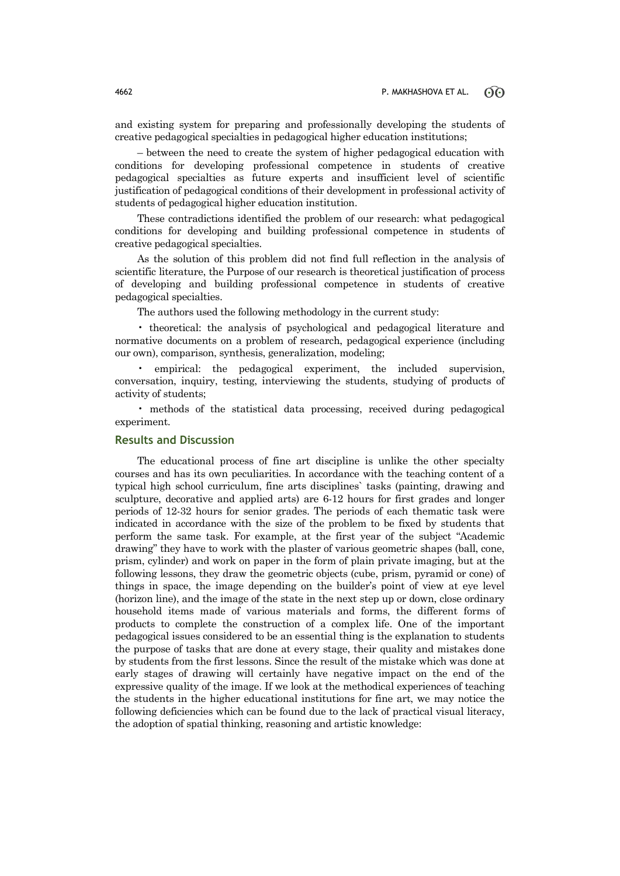and existing system for preparing and professionally developing the students of creative pedagogical specialties in pedagogical higher education institutions;

– between the need to create the system of higher pedagogical education with conditions for developing professional competence in students of creative pedagogical specialties as future experts and insufficient level of scientific justification of pedagogical conditions of their development in professional activity of students of pedagogical higher education institution.

These contradictions identified the problem of our research: what pedagogical conditions for developing and building professional competence in students of creative pedagogical specialties.

As the solution of this problem did not find full reflection in the analysis of scientific literature, the Purpose of our research is theoretical justification of process of developing and building professional competence in students of creative pedagogical specialties.

The authors used the following methodology in the current study:

• theoretical: the analysis of psychological and pedagogical literature and normative documents on a problem of research, pedagogical experience (including our own), comparison, synthesis, generalization, modeling;

empirical: the pedagogical experiment, the included supervision, conversation, inquiry, testing, interviewing the students, studying of products of activity of students;

• methods of the statistical data processing, received during pedagogical experiment.

## **Results and Discussion**

The educational process of fine art discipline is unlike the other specialty courses and has its own peculiarities. In accordance with the teaching content of a typical high school curriculum, fine arts disciplines` tasks (painting, drawing and sculpture, decorative and applied arts) are 6-12 hours for first grades and longer periods of 12-32 hours for senior grades. The periods of each thematic task were indicated in accordance with the size of the problem to be fixed by students that perform the same task. For example, at the first year of the subject "Academic drawing" they have to work with the plaster of various geometric shapes (ball, cone, prism, cylinder) and work on paper in the form of plain private imaging, but at the following lessons, they draw the geometric objects (cube, prism, pyramid or cone) of things in space, the image depending on the builder's point of view at eye level (horizon line), and the image of the state in the next step up or down, close ordinary household items made of various materials and forms, the different forms of products to complete the construction of a complex life. One of the important pedagogical issues considered to be an essential thing is the explanation to students the purpose of tasks that are done at every stage, their quality and mistakes done by students from the first lessons. Since the result of the mistake which was done at early stages of drawing will certainly have negative impact on the end of the expressive quality of the image. If we look at the methodical experiences of teaching the students in the higher educational institutions for fine art, we may notice the following deficiencies which can be found due to the lack of practical visual literacy, the adoption of spatial thinking, reasoning and artistic knowledge: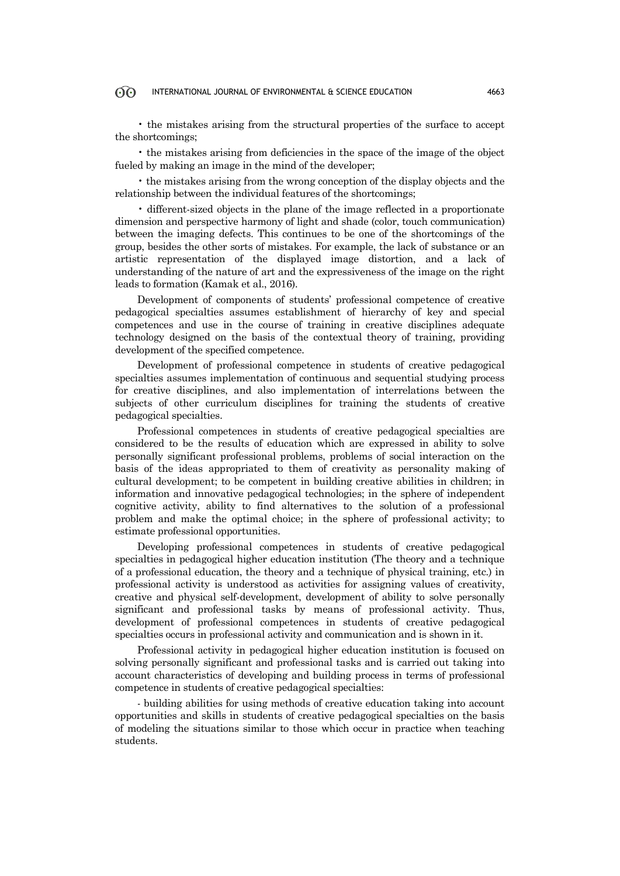• the mistakes arising from the structural properties of the surface to accept the shortcomings;

• the mistakes arising from deficiencies in the space of the image of the object fueled by making an image in the mind of the developer;

• the mistakes arising from the wrong conception of the display objects and the relationship between the individual features of the shortcomings;

• different-sized objects in the plane of the image reflected in a proportionate dimension and perspective harmony of light and shade (color, touch communication) between the imaging defects. This continues to be one of the shortcomings of the group, besides the other sorts of mistakes. For example, the lack of substance or an artistic representation of the displayed image distortion, and a lack of understanding of the nature of art and the expressiveness of the image on the right leads to formation (Kamak et al., 2016).

Development of components of students' professional competence of creative pedagogical specialties assumes establishment of hierarchy of key and special competences and use in the course of training in creative disciplines adequate technology designed on the basis of the contextual theory of training, providing development of the specified competence.

Development of professional competence in students of creative pedagogical specialties assumes implementation of continuous and sequential studying process for creative disciplines, and also implementation of interrelations between the subjects of other curriculum disciplines for training the students of creative pedagogical specialties.

Professional competences in students of creative pedagogical specialties are considered to be the results of education which are expressed in ability to solve personally significant professional problems, problems of social interaction on the basis of the ideas appropriated to them of creativity as personality making of cultural development; to be competent in building creative abilities in children; in information and innovative pedagogical technologies; in the sphere of independent cognitive activity, ability to find alternatives to the solution of a professional problem and make the optimal choice; in the sphere of professional activity; to estimate professional opportunities.

Developing professional competences in students of creative pedagogical specialties in pedagogical higher education institution (The theory and a technique of a professional education, the theory and a technique of physical training, etc.) in professional activity is understood as activities for assigning values of creativity, creative and physical self-development, development of ability to solve personally significant and professional tasks by means of professional activity. Thus, development of professional competences in students of creative pedagogical specialties occurs in professional activity and communication and is shown in it.

Professional activity in pedagogical higher education institution is focused on solving personally significant and professional tasks and is carried out taking into account characteristics of developing and building process in terms of professional competence in students of creative pedagogical specialties:

- building abilities for using methods of creative education taking into account opportunities and skills in students of creative pedagogical specialties on the basis of modeling the situations similar to those which occur in practice when teaching students.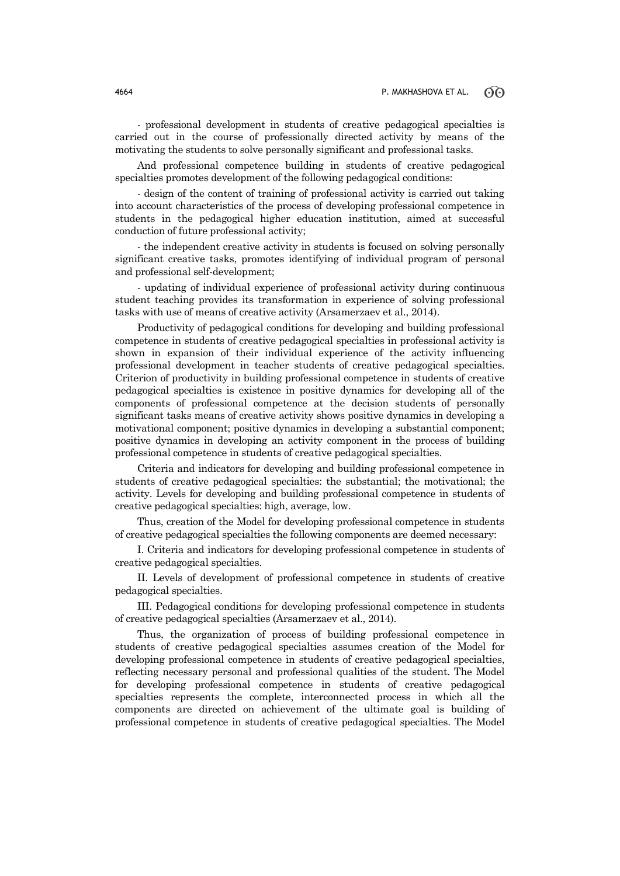- professional development in students of creative pedagogical specialties is carried out in the course of professionally directed activity by means of the motivating the students to solve personally significant and professional tasks.

And professional competence building in students of creative pedagogical specialties promotes development of the following pedagogical conditions:

- design of the content of training of professional activity is carried out taking into account characteristics of the process of developing professional competence in students in the pedagogical higher education institution, aimed at successful conduction of future professional activity;

- the independent creative activity in students is focused on solving personally significant creative tasks, promotes identifying of individual program of personal and professional self-development;

- updating of individual experience of professional activity during continuous student teaching provides its transformation in experience of solving professional tasks with use of means of creative activity (Arsamerzaev et al., 2014).

Productivity of pedagogical conditions for developing and building professional competence in students of creative pedagogical specialties in professional activity is shown in expansion of their individual experience of the activity influencing professional development in teacher students of creative pedagogical specialties. Criterion of productivity in building professional competence in students of creative pedagogical specialties is existence in positive dynamics for developing all of the components of professional competence at the decision students of personally significant tasks means of creative activity shows positive dynamics in developing a motivational component; positive dynamics in developing a substantial component; positive dynamics in developing an activity component in the process of building professional competence in students of creative pedagogical specialties.

Criteria and indicators for developing and building professional competence in students of creative pedagogical specialties: the substantial; the motivational; the activity. Levels for developing and building professional competence in students of creative pedagogical specialties: high, average, low.

Thus, creation of the Model for developing professional competence in students of creative pedagogical specialties the following components are deemed necessary:

I. Criteria and indicators for developing professional competence in students of creative pedagogical specialties.

II. Levels of development of professional competence in students of creative pedagogical specialties.

III. Pedagogical conditions for developing professional competence in students of creative pedagogical specialties (Arsamerzaev et al., 2014).

Thus, the organization of process of building professional competence in students of creative pedagogical specialties assumes creation of the Model for developing professional competence in students of creative pedagogical specialties, reflecting necessary personal and professional qualities of the student. The Model for developing professional competence in students of creative pedagogical specialties represents the complete, interconnected process in which all the components are directed on achievement of the ultimate goal is building of professional competence in students of creative pedagogical specialties. The Model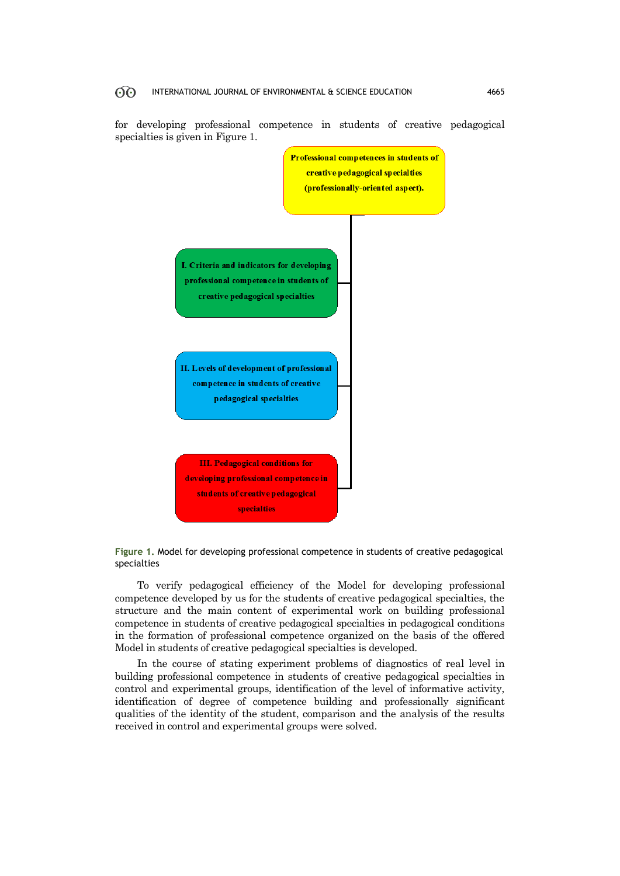for developing professional competence in students of creative pedagogical specialties is given in Figure 1.



**Figure 1.** Model for developing professional competence in students of creative pedagogical specialties

To verify pedagogical efficiency of the Model for developing professional competence developed by us for the students of creative pedagogical specialties, the structure and the main content of experimental work on building professional competence in students of creative pedagogical specialties in pedagogical conditions in the formation of professional competence organized on the basis of the offered Model in students of creative pedagogical specialties is developed.

In the course of stating experiment problems of diagnostics of real level in building professional competence in students of creative pedagogical specialties in control and experimental groups, identification of the level of informative activity, identification of degree of competence building and professionally significant qualities of the identity of the student, comparison and the analysis of the results received in control and experimental groups were solved.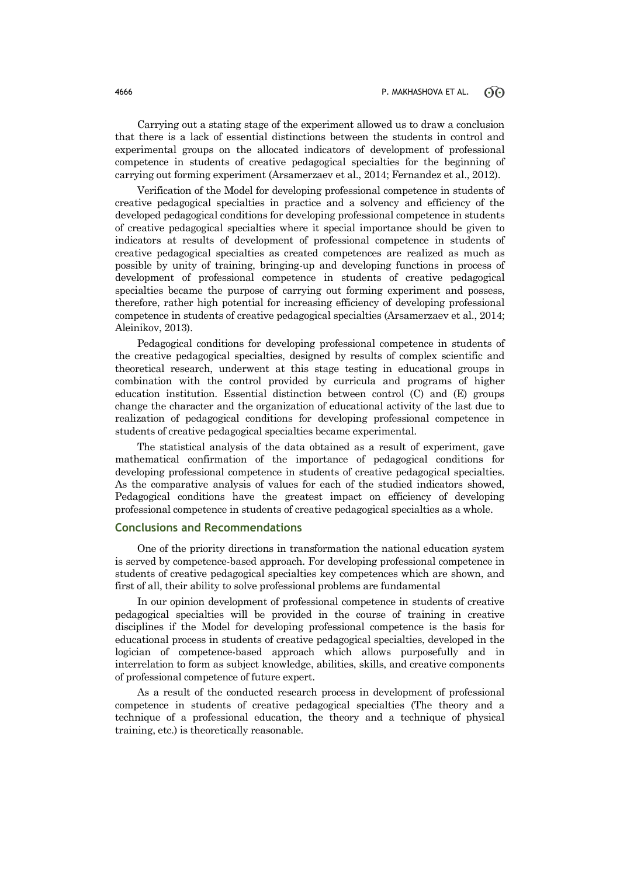Carrying out a stating stage of the experiment allowed us to draw a conclusion that there is a lack of essential distinctions between the students in control and experimental groups on the allocated indicators of development of professional competence in students of creative pedagogical specialties for the beginning of carrying out forming experiment (Arsamerzaev et al., 2014; Fernandez et al., 2012).

Verification of the Model for developing professional competence in students of creative pedagogical specialties in practice and a solvency and efficiency of the developed pedagogical conditions for developing professional competence in students of creative pedagogical specialties where it special importance should be given to indicators at results of development of professional competence in students of creative pedagogical specialties as created competences are realized as much as possible by unity of training, bringing-up and developing functions in process of development of professional competence in students of creative pedagogical specialties became the purpose of carrying out forming experiment and possess, therefore, rather high potential for increasing efficiency of developing professional competence in students of creative pedagogical specialties (Arsamerzaev et al., 2014; Aleinikov, 2013).

Pedagogical conditions for developing professional competence in students of the creative pedagogical specialties, designed by results of complex scientific and theoretical research, underwent at this stage testing in educational groups in combination with the control provided by curricula and programs of higher education institution. Essential distinction between control (C) and (E) groups change the character and the organization of educational activity of the last due to realization of pedagogical conditions for developing professional competence in students of creative pedagogical specialties became experimental.

The statistical analysis of the data obtained as a result of experiment, gave mathematical confirmation of the importance of pedagogical conditions for developing professional competence in students of creative pedagogical specialties. As the comparative analysis of values for each of the studied indicators showed, Pedagogical conditions have the greatest impact on efficiency of developing professional competence in students of creative pedagogical specialties as a whole.

### **Conclusions and Recommendations**

One of the priority directions in transformation the national education system is served by competence-based approach. For developing professional competence in students of creative pedagogical specialties key competences which are shown, and first of all, their ability to solve professional problems are fundamental

In our opinion development of professional competence in students of creative pedagogical specialties will be provided in the course of training in creative disciplines if the Model for developing professional competence is the basis for educational process in students of creative pedagogical specialties, developed in the logician of competence-based approach which allows purposefully and in interrelation to form as subject knowledge, abilities, skills, and creative components of professional competence of future expert.

As a result of the conducted research process in development of professional competence in students of creative pedagogical specialties (The theory and a technique of a professional education, the theory and a technique of physical training, etc.) is theoretically reasonable.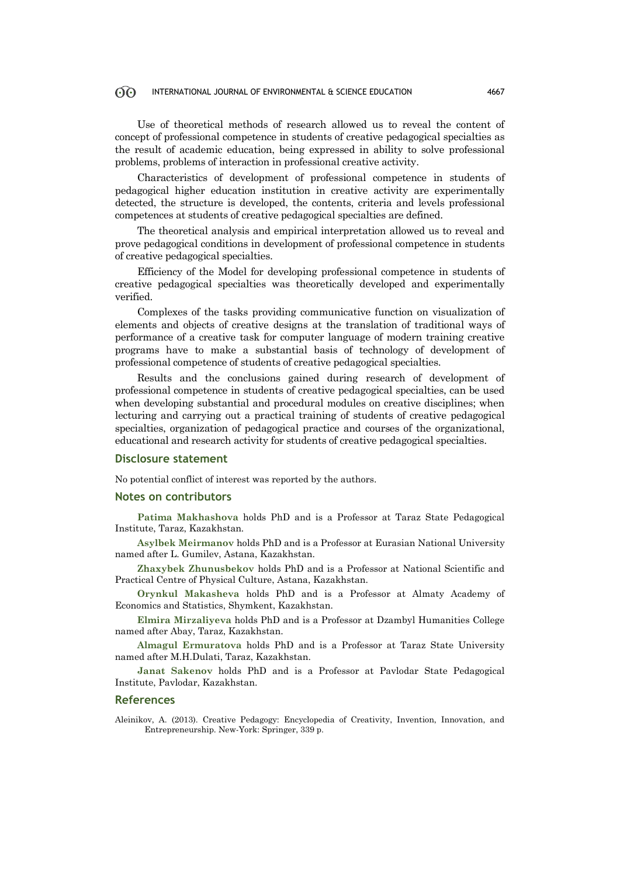Use of theoretical methods of research allowed us to reveal the content of concept of professional competence in students of creative pedagogical specialties as the result of academic education, being expressed in ability to solve professional problems, problems of interaction in professional creative activity.

Characteristics of development of professional competence in students of pedagogical higher education institution in creative activity are experimentally detected, the structure is developed, the contents, criteria and levels professional competences at students of creative pedagogical specialties are defined.

The theoretical analysis and empirical interpretation allowed us to reveal and prove pedagogical conditions in development of professional competence in students of creative pedagogical specialties.

Efficiency of the Model for developing professional competence in students of creative pedagogical specialties was theoretically developed and experimentally verified.

Complexes of the tasks providing communicative function on visualization of elements and objects of creative designs at the translation of traditional ways of performance of a creative task for computer language of modern training creative programs have to make a substantial basis of technology of development of professional competence of students of creative pedagogical specialties.

Results and the conclusions gained during research of development of professional competence in students of creative pedagogical specialties, can be used when developing substantial and procedural modules on creative disciplines; when lecturing and carrying out a practical training of students of creative pedagogical specialties, organization of pedagogical practice and courses of the organizational, educational and research activity for students of creative pedagogical specialties.

### **Disclosure statement**

No potential conflict of interest was reported by the authors.

### **Notes on contributors**

**Patima Makhashova** holds PhD and is a Professor at Taraz State Pedagogical Institute, Taraz, Kazakhstan.

**Asylbek Meirmanov** holds PhD and is a Professor at Eurasian National University named after L. Gumilev, Astana, Kazakhstan.

**Zhaxybek Zhunusbekov** holds PhD and is a Professor at National Scientific and Practical Centre of Physical Culture, Astana, Kazakhstan.

**Orynkul Makasheva** holds PhD and is a Professor at Almaty Academy of Economics and Statistics, Shymkent, Kazakhstan.

**Elmira Mirzaliyeva** holds PhD and is a Professor at Dzambyl Humanities College named after Abay, Taraz, Kazakhstan.

**Almagul Ermuratova** holds PhD and is a Professor at Taraz State University named after M.H.Dulati, Taraz, Kazakhstan.

**Janat Sakenov** holds PhD and is a Professor at Pavlodar State Pedagogical Institute, Pavlodar, Kazakhstan.

### **References**

Aleinikov, A. (2013). Creative Pedagogy: Encyclopedia of Creativity, Invention, Innovation, and Entrepreneurship. New-York: Springer, 339 p.